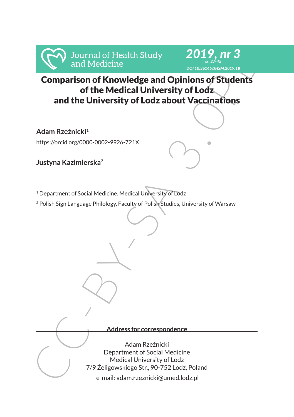

#### *2019, nr 3 ss. 27-45 DOI 10.36145/JHSM.2019.18*

# Comparison of Knowledge and Opinions of Students of the Medical University of Lodz and the University of Lodz about Vaccinations

**Adam Rzeźnicki<sup>1</sup>**

https://orcid.org/0000-0002-9926-721X

**Justyna Kazimierska<sup>2</sup>**

<sup>1</sup> Department of Social Medicine, Medical University of Lodz

<sup>2</sup> Polish Sign Language Philology, Faculty of Polish Studies, University of Warsaw

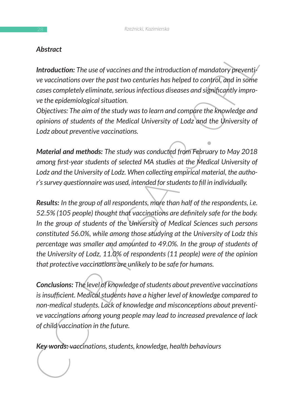## *Abstract*

*Introduction: The use of vaccines and the introduction of mandatory preventive vaccinations over the past two centuries has helped to control, and in some cases completely eliminate, serious infectious diseases and significantly improve the epidemiological situation.*

*Objectives: The aim of the study was to learn and compare the knowledge and opinions of students of the Medical University of Lodz and the University of Lodz about preventive vaccinations.*

*Material and methods: The study was conducted from February to May 2018 among first-year students of selected MA studies at the Medical University of Lodz and the University of Lodz. When collecting empirical material, the author's survey questionnaire was used, intended for students to fill in individually.*

**Abstract**<br>
Notion: The use of vaccines and the introduction of mandatory preventity<br>
ve vaccinations over the past two centralies has helped to control, and in some<br>
cases completely eliminate, serious infectious disease *Results: In the group of all respondents, more than half of the respondents, i.e. 52.5% (105 people) thought that vaccinations are definitely safe for the body. In the group of students of the University of Medical Sciences such persons constituted 56.0%, while among those studying at the University of Lodz this percentage was smaller and amounted to 49.0%. In the group of students of the University of Lodz, 11.0% of respondents (11 people) were of the opinion that protective vaccinations are unlikely to be safe for humans.*

*Conclusions: The level of knowledge of students about preventive vaccinations is insufficient. Medical students have a higher level of knowledge compared to non-medical students. Lack of knowledge and misconceptions about preventive vaccinations among young people may lead to increased prevalence of lack of child vaccination in the future.*

*Key words: vaccinations, students, knowledge, health behaviours*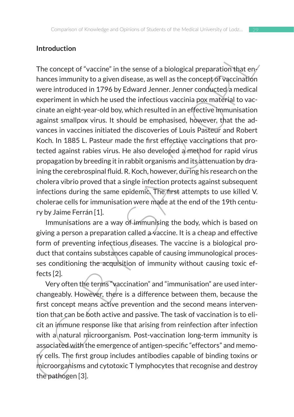### **Introduction**

Introduction<br>The concept of "vaccine" in the sense of a biological preparation that em<br>
hances immunity to a given disease, as well as the concept of vaccination<br>
were introduced in 1796 by Edward Jenner. Jenner conducted The concept of "vaccine" in the sense of a biological preparation that enhances immunity to a given disease, as well as the concept of vaccination were introduced in 1796 by Edward Jenner. Jenner conducted a medical experiment in which he used the infectious vaccinia pox material to vaccinate an eight-year-old boy, which resulted in an effective immunisation against smallpox virus. It should be emphasised, however, that the advances in vaccines initiated the discoveries of Louis Pasteur and Robert Koch. In 1885 L. Pasteur made the first effective vaccinations that protected against rabies virus. He also developed a method for rapid virus propagation by breeding it in rabbit organisms and its attenuation by draining the cerebrospinal fluid. R. Koch, however, during his research on the cholera vibrio proved that a single infection protects against subsequent infections during the same epidemic. The first attempts to use killed V. cholerae cells for immunisation were made at the end of the 19th century by Jaime Ferrán [1].

Immunisations are a way of immunising the body, which is based on giving a person a preparation called a vaccine. It is a cheap and effective form of preventing infectious diseases. The vaccine is a biological product that contains substances capable of causing immunological processes conditioning the acquisition of immunity without causing toxic effects [2].

Very often the terms "vaccination" and "immunisation" are used interchangeably. However, there is a difference between them, because the first concept means active prevention and the second means intervention that can be both active and passive. The task of vaccination is to elicit an immune response like that arising from reinfection after infection with a natural microorganism. Post-vaccination long-term immunity is associated with the emergence of antigen-specific "effectors" and memory cells. The first group includes antibodies capable of binding toxins or microorganisms and cytotoxic T lymphocytes that recognise and destroy the pathogen [3].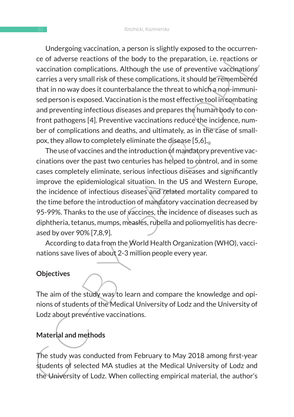Uneur going vacchination, a person in singury exposed to the cocurrele-<br>ce of adverse reactions of the body to the preparation, i.e. reactions or<br>vaccination complications. Although the use of preventive vaccinations<br>varie Undergoing vaccination, a person is slightly exposed to the occurrence of adverse reactions of the body to the preparation, i.e. reactions or vaccination complications. Although the use of preventive vaccinations carries a very small risk of these complications, it should be remembered that in no way does it counterbalance the threat to which a non-immunised person is exposed. Vaccination is the most effective tool in combating and preventing infectious diseases and prepares the human body to confront pathogens [4]. Preventive vaccinations reduce the incidence, number of complications and deaths, and ultimately, as in the case of smallpox, they allow to completely eliminate the disease [5,6].

The use of vaccines and the introduction of mandatory preventive vaccinations over the past two centuries has helped to control, and in some cases completely eliminate, serious infectious diseases and significantly improve the epidemiological situation. In the US and Western Europe, the incidence of infectious diseases and related mortality compared to the time before the introduction of mandatory vaccination decreased by 95-99%. Thanks to the use of vaccines, the incidence of diseases such as diphtheria, tetanus, mumps, measles, rubella and poliomyelitis has decreased by over 90% [7,8,9].

According to data from the World Health Organization (WHO), vaccinations save lives of about 2-3 million people every year.

#### **Objectives**

The aim of the study was to learn and compare the knowledge and opinions of students of the Medical University of Lodz and the University of Lodz about preventive vaccinations.

## **Material and methods**

The study was conducted from February to May 2018 among first-year students of selected MA studies at the Medical University of Lodz and the University of Lodz. When collecting empirical material, the author's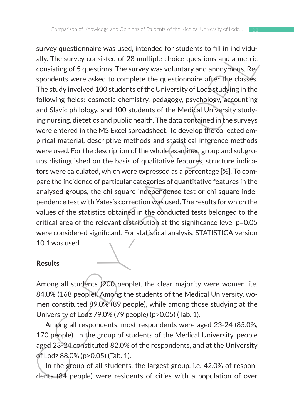structure was used. Interlieut on students of the ready studient and the Universal of 28 multiple-choice questions and a metric consisting of 5 questions. The survey was voluntary and anonymous. Re-<br>spondarls were asked to survey questionnaire was used, intended for students to fill in individually. The survey consisted of 28 multiple-choice questions and a metric consisting of 5 questions. The survey was voluntary and anonymous. Respondents were asked to complete the questionnaire after the classes. The study involved 100 students of the University of Lodz studying in the following fields: cosmetic chemistry, pedagogy, psychology, accounting and Slavic philology, and 100 students of the Medical University studying nursing, dietetics and public health. The data contained in the surveys were entered in the MS Excel spreadsheet. To develop the collected empirical material, descriptive methods and statistical inference methods were used. For the description of the whole examined group and subgroups distinguished on the basis of qualitative features, structure indicators were calculated, which were expressed as a percentage [%]. To compare the incidence of particular categories of quantitative features in the analysed groups, the chi-square independence test or chi-square independence test with Yates's correction was used. The results for which the values of the statistics obtained in the conducted tests belonged to the critical area of the relevant distribution at the significance level p=0.05 were considered significant. For statistical analysis, STATISTICA version 10.1 was used.

#### **Results**

Among all students (200 people), the clear majority were women, i.e. 84.0% (168 people). Among the students of the Medical University, women constituted 89.0% (89 people), while among those studying at the University of Lodz 79.0% (79 people) (p>0.05) (Tab. 1).

Among all respondents, most respondents were aged 23-24 (85.0%, 170 people). In the group of students of the Medical University, people aged 23-24 constituted 82.0% of the respondents, and at the University of Lodz 88.0% (p>0.05) (Tab. 1).

In the group of all students, the largest group, i.e. 42.0% of respondents (84 people) were residents of cities with a population of over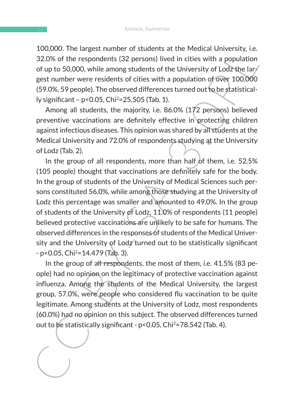100,000. The largest number of students at the Medical University, i.e. 32.0% of the respondents (32 persons) lived in cities with a population of up to 50,000, while among students of the University of Lodz the largest number were residents of cities with a population of over 100,000 (59.0%, 59 people). The observed differences turned out to be statistically significant – p<0.05, Chi2=25.505 (Tab. 1).

Among all students, the majority, i.e. 86.0% (172 persons) believed preventive vaccinations are definitely effective in protecting children against infectious diseases. This opinion was shared by all students at the Medical University and 72.0% of respondents studying at the University of Lodz (Tab. 2).

100,000. The largest number of subtenties at the Methema Omestic and the system and the system and the system of ty to 50,000, while among students of the University of Lod2 the largest number were residents of ties with In the group of all respondents, more than half of them, i.e. 52.5% (105 people) thought that vaccinations are definitely safe for the body. In the group of students of the University of Medical Sciences such persons constituted 56.0%, while among those studying at the University of Lodz this percentage was smaller and amounted to 49.0%. In the group of students of the University of Lodz, 11.0% of respondents (11 people) believed protective vaccinations are unlikely to be safe for humans. The observed differences in the responses of students of the Medical University and the University of Lodz turned out to be statistically significant  $-p < 0.05$ , Chi<sup>2</sup>=14.479 (Tab. 3).

In the group of all respondents, the most of them, i.e. 41.5% (83 people) had no opinion on the legitimacy of protective vaccination against influenza. Among the students of the Medical University, the largest group, 57.0%, were people who considered flu vaccination to be quite legitimate. Among students at the University of Lodz, most respondents (60.0%) had no opinion on this subject. The observed differences turned out to be statistically significant - p<0.05, Chi2=78.542 (Tab. 4).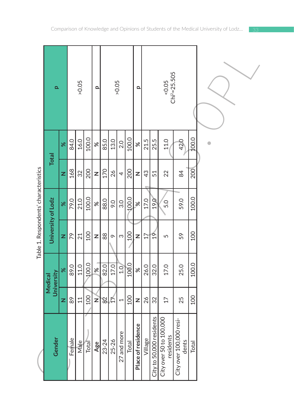|                                       | $\overline{\mathbf{a}}$ |          |         | $>0.05$ |            | Q             |                     |         | $>0.05$        |            | $\Omega$           |                 |                                     | $\textrm{<}0.05$<br>Chi <sup>2</sup> =25.505 |                                  |            |           |
|---------------------------------------|-------------------------|----------|---------|---------|------------|---------------|---------------------|---------|----------------|------------|--------------------|-----------------|-------------------------------------|----------------------------------------------|----------------------------------|------------|-----------|
|                                       | <b>Total</b>            | $\aleph$ | 84.0    | 16.0    | 100.0      | $\aleph$      | 85.0                | 13.0    | 2.0            | 100.0      | ৯ৎ                 | 21.5            | 25.5                                | 11.0                                         | 42.0                             | 100.0      | $\bullet$ |
|                                       |                         | z        | 168     | 32      | 200        | Z             | 170                 | 26      | $\overline{a}$ | 200        | Z                  | 43              | 51                                  | 22                                           | 84                               | 200        |           |
| Table 1. Respondents' characteristics |                         | $\infty$ | 79.0    | 21.0    | 100.0      | $\aleph$      | 88.0                | 9.0     | 3.0            | 400.0      | $\geqslant$        | 17.0            | 19.0                                | 5.0                                          | 59.0                             | 100.0      |           |
|                                       | University of Lodz      | z        | 79      | 21      | <b>OOT</b> | Z             | $^{\circ}_{\infty}$ | $\circ$ | က              | <b>200</b> | Z                  | $\overline{17}$ | $\frac{6}{1}$                       | 5                                            | 59                               | <b>00T</b> |           |
|                                       | University<br>Medical   | ৼ        | 89.0    | 11.0    | 100.0      | $\frac{8}{3}$ | 82.0                | 17.0    | $\overline{0}$ | 100.0      | $\aleph$           | 26.0            | 32.0                                | 17.0                                         | 25.0                             | 100.0      |           |
|                                       |                         | z        | 89      | $\Xi$   | <b>200</b> | z             | 8                   | 后       | Ţ              | <b>OOT</b> | Z                  | 26              | 32                                  | $\overline{17}$                              | 25                               | 100        |           |
|                                       | Gender                  |          | Ferhale | Male    | Total      | Age           | 23-24               | 25-26   | 27 and more    | Total      | Place of residence |                 | Village<br>City to 50,000 residents | City over 50 to 100,000<br>residents         | City over 100,000 resi-<br>dents | Total      |           |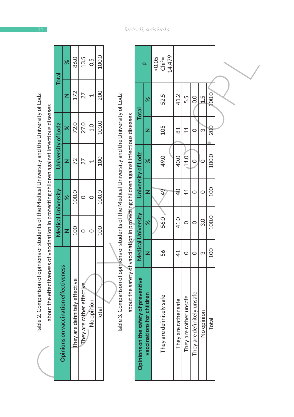| 100.0<br>86.0<br>13.5<br>50<br>Total | 172<br>200 | 100.0<br>72.0<br>27.0 | University of Lodz<br>100 | <b>Medical University</b><br>100.0<br>100.0 | S<br>CV<br>100 | about the effectiveness of vaccination in protecting children against infectious diseases<br><b>Dpinions on vaccination effectiveness</b><br>hey are definitely effective<br>They are rather effective<br>No opinion<br>Total |
|--------------------------------------|------------|-----------------------|---------------------------|---------------------------------------------|----------------|-------------------------------------------------------------------------------------------------------------------------------------------------------------------------------------------------------------------------------|
|                                      |            |                       |                           |                                             |                |                                                                                                                                                                                                                               |
|                                      |            |                       |                           |                                             |                |                                                                                                                                                                                                                               |
|                                      |            |                       |                           |                                             |                |                                                                                                                                                                                                                               |
|                                      |            |                       |                           |                                             |                |                                                                                                                                                                                                                               |
|                                      |            |                       |                           |                                             |                |                                                                                                                                                                                                                               |
|                                      |            |                       |                           |                                             |                |                                                                                                                                                                                                                               |
|                                      |            |                       |                           |                                             |                |                                                                                                                                                                                                                               |
|                                      |            |                       |                           |                                             |                |                                                                                                                                                                                                                               |

|                                                                                                  |                                                                                           | <b>Total</b>              | ৯ৎ                                    | 86.0                          | 13.5                      | 0.5           | 100.0      |                                                                                                  |                                                                                    |                                      | $\overline{\mathbf{a}}$   | 14.479<br>$5 - 0.05$<br>Chi <sup>2</sup> = |                      |                        |                            |               |            |  |
|--------------------------------------------------------------------------------------------------|-------------------------------------------------------------------------------------------|---------------------------|---------------------------------------|-------------------------------|---------------------------|---------------|------------|--------------------------------------------------------------------------------------------------|------------------------------------------------------------------------------------|--------------------------------------|---------------------------|--------------------------------------------|----------------------|------------------------|----------------------------|---------------|------------|--|
|                                                                                                  |                                                                                           |                           | z                                     | 172                           | 27                        | 1             | 200        |                                                                                                  |                                                                                    | <b>Total</b>                         | ৯ৎ                        | 52.5                                       | 41.2                 | 5.5                    | $\overline{0}$             | $\frac{5}{1}$ | 100.0      |  |
|                                                                                                  |                                                                                           |                           | ৼ                                     | 72.0                          | 27.0                      | $\frac{1}{1}$ | 100.0      |                                                                                                  |                                                                                    |                                      | z                         | 105                                        | $\approx$            | 11                     | $\circ$                    | က             | 200        |  |
|                                                                                                  |                                                                                           | University of Lodz        | z                                     | 72                            | 27                        | 1             | <b>DOI</b> |                                                                                                  |                                                                                    | University of Lodz                   | ৯ৎ                        | 49.0                                       | 40.0                 | 11.0                   | $\circ$                    | 0             | 100.0      |  |
|                                                                                                  |                                                                                           |                           | ৼ                                     | 100.0                         | $\circ$                   | $\circ$       | 100.0      |                                                                                                  |                                                                                    |                                      | Z                         | $\frac{4}{9}$                              | ₽                    | $\overline{11}$        | $\circ$                    | $\circ$       | <b>OOT</b> |  |
|                                                                                                  |                                                                                           | <b>Medical University</b> | z                                     | 100                           | $\circ$                   | $\circ$       | <b>001</b> |                                                                                                  |                                                                                    | Medical University                   | $\aleph$                  | 56.0                                       | 41.0                 | $\circ$                | $\circ$                    | 3.0           | 100.0      |  |
|                                                                                                  |                                                                                           |                           |                                       |                               |                           |               |            |                                                                                                  |                                                                                    |                                      | z                         | 56                                         | $\overline{4}$       | $\circ$                | $\circ$                    | S             | 100        |  |
| Table 2. Comparison of opinions of students of the Medical University and the University of Lodz | about the effectiveness of vaccination in protecting children against infectious diseases |                           | Opinions on vaccination effectiveness | They are definitely effective | They are rather effective | No opiñion    | Total      | Table 3. Comparison of opinions of students of the Medical University and the University of Lodz | about the safety of vaccination in protecting children against infectious diseases | Opinions on the safety of preventive | vaccinations for children | They are definitely safe                   | They are rather safe | They are rather unsafe | They are definitely unsafe | No opinion    | Total      |  |

٦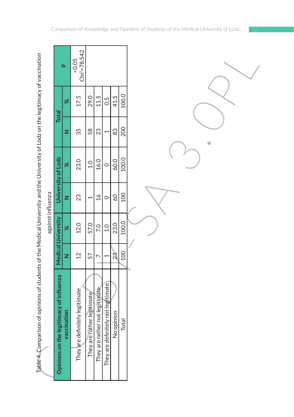|                          | ١           |
|--------------------------|-------------|
|                          |             |
|                          |             |
|                          |             |
|                          |             |
|                          | i           |
|                          |             |
|                          | ֚֚֘֝֬       |
|                          |             |
|                          |             |
|                          |             |
|                          |             |
|                          | ֧֚֘֝        |
|                          |             |
|                          |             |
|                          |             |
|                          |             |
|                          | ֡֡֡         |
|                          |             |
|                          |             |
|                          |             |
|                          |             |
|                          | ١           |
|                          | i           |
|                          |             |
| I                        |             |
|                          |             |
|                          | ֕           |
|                          |             |
|                          |             |
|                          |             |
|                          |             |
|                          |             |
|                          |             |
|                          |             |
|                          |             |
|                          |             |
|                          |             |
|                          |             |
|                          |             |
|                          |             |
|                          |             |
|                          |             |
|                          |             |
|                          |             |
|                          |             |
|                          |             |
|                          |             |
|                          |             |
|                          |             |
|                          |             |
|                          |             |
|                          |             |
|                          |             |
|                          |             |
|                          |             |
|                          |             |
|                          |             |
|                          |             |
|                          |             |
|                          |             |
|                          |             |
|                          |             |
|                          | ï           |
|                          |             |
|                          |             |
|                          |             |
|                          |             |
|                          |             |
|                          |             |
|                          |             |
|                          |             |
|                          |             |
|                          |             |
|                          |             |
|                          |             |
|                          |             |
|                          |             |
|                          |             |
|                          |             |
|                          |             |
|                          |             |
|                          |             |
|                          |             |
|                          |             |
|                          |             |
|                          | i           |
|                          |             |
|                          |             |
|                          |             |
|                          |             |
|                          |             |
|                          |             |
|                          |             |
| $\overline{\phantom{a}}$ |             |
|                          |             |
|                          |             |
| ļ                        |             |
|                          |             |
| Ī                        | ì<br>d<br>ģ |

|                                                                                                                                           |                   |                                         | Q           | $Chi^2 = 78.542$<br>0.05       |                            |                                |                                    |                 |       |  |
|-------------------------------------------------------------------------------------------------------------------------------------------|-------------------|-----------------------------------------|-------------|--------------------------------|----------------------------|--------------------------------|------------------------------------|-----------------|-------|--|
|                                                                                                                                           |                   | <b>Total</b>                            | $\aleph$    | 17.5                           | 29.0                       | 11.5                           | 0.5                                | 41.5            | 100.0 |  |
|                                                                                                                                           |                   |                                         | z           | 35                             | 58                         | 23                             | $\overline{ }$                     | 83              | 200   |  |
|                                                                                                                                           |                   | University of Lodz                      | ৼ           | 23.0                           | 0.1                        | 16.0                           | $\circ$                            | 60.0            | 100.0 |  |
|                                                                                                                                           |                   |                                         | z           | 23                             | $\overline{\phantom{0}}$   | $\frac{6}{1}$                  | $\circ$                            | $\overline{60}$ | 100   |  |
|                                                                                                                                           | against influenza | <b>Medical University</b>               | $\aleph$    | 12.0                           | 57.0                       | 7.0                            | 1.0                                | 23.0            | 100.0 |  |
|                                                                                                                                           |                   |                                         | z           | $\overline{2}$                 | 57                         | r                              | 1                                  | $\mathfrak{A}$  | 100   |  |
| ${\sf Table 4\_Comparison}$ of opinions of students of the Medical University and the University of Lodz on the legitimacy of vaccination |                   | Opinions on the legitimacy of influenza | vaccination | They are definitely legitimate | They are rather legitimate | They are rather not legitimate | They are definitely not legitimate | No opinion      | Total |  |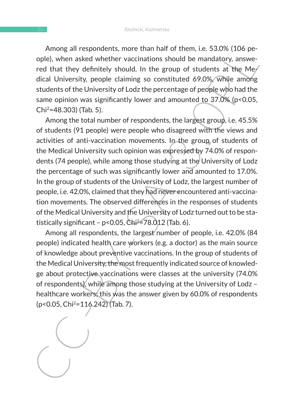Among all respondents, more than half of them, i.e. 53.0% (106 people), when asked whether vaccinations should be mandatory, answered that they definitely should. In the group of students at the Medical University, people claiming so constituted 69.0%, while among students of the University of Lodz the percentage of people who had the same opinion was significantly lower and amounted to 37.0% (p<0.05, Chi2=48.303) (Tab. 5).

Among air respondents, nine train that there that the propositions the opel), when a sked whether vaccinations should be mandatory, answered that they definitely should. In the group of students at the Meyleid COSX (While Among the total number of respondents, the largest group, i.e. 45.5% of students (91 people) were people who disagreed with the views and activities of anti-vaccination movements. In the group of students of the Medical University such opinion was expressed by 74.0% of respondents (74 people), while among those studying at the University of Lodz the percentage of such was significantly lower and amounted to 17.0%. In the group of students of the University of Lodz, the largest number of people, i.e. 42.0%, claimed that they had never encountered anti-vaccination movements. The observed differences in the responses of students of the Medical University and the University of Lodz turned out to be statistically significant -  $p<0.05$ , Chi<sup>2</sup>=78.012 (Tab. 6).

Among all respondents, the largest number of people, i.e. 42.0% (84 people) indicated health care workers (e.g. a doctor) as the main source of knowledge about preventive vaccinations. In the group of students of the Medical University, the most frequently indicated source of knowledge about protective vaccinations were classes at the university (74.0% of respondents), while among those studying at the University of Lodz – healthcare workers; this was the answer given by 60.0% of respondents (p<0.05, Chi2=116.242) (Tab. 7).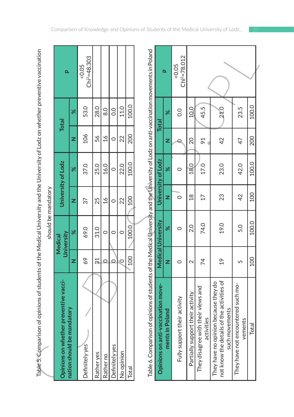|                                       |     |                              | should be mandatory |                    |               |               |                        |
|---------------------------------------|-----|------------------------------|---------------------|--------------------|---------------|---------------|------------------------|
| Opinions on whether preventive vacci- |     | <b>dniversity</b><br>Medical |                     | University of Lodz |               | <b>Total</b>  |                        |
| nation should be mandatory            |     |                              |                     |                    |               |               |                        |
| Definitely yes                        | 69  | 69.0                         | 37                  | 37.0               | 106           | 53.0          | $Chi^2=48.303$<br>0.05 |
| Rather yes                            |     | 31.0                         | 25                  | 25.0               | 56            | 28.0          |                        |
| Rather no                             |     |                              | $^{16}$             | 16.0               | $\frac{6}{1}$ | $\frac{0}{8}$ |                        |
| <b>Definitely yes</b>                 |     |                              |                     |                    |               | o<br>O        |                        |
| No opinion                            |     |                              | 22                  | 22.0               | 22            | 11.0          |                        |
| Total                                 | 100 | 100.0                        | 100                 | 100.0              | 200           | 100.0         |                        |
|                                       |     |                              |                     |                    |               |               |                        |

| Table 5. Comparison of opinions of students of the Medical University and the University of Lodz on whether preventive vaccination                                             |                   |                           |                 |                    |                |               |                           |
|--------------------------------------------------------------------------------------------------------------------------------------------------------------------------------|-------------------|---------------------------|-----------------|--------------------|----------------|---------------|---------------------------|
|                                                                                                                                                                                |                   | should be mandatory       |                 |                    |                |               |                           |
| Opinions on whether preventive vacci-                                                                                                                                          |                   | University<br>Medical     |                 | University of Lodz |                | <b>Total</b>  | Q                         |
| nation should be mandatory                                                                                                                                                     | z                 | ৯ৎ                        | z               | ৯ৎ                 | z              | ৯ৎ            |                           |
| Definitely yes                                                                                                                                                                 | 69                | 69.0                      | 57              | 37.0               | 106            | 53.0          | $Chi2=48.303$<br>50.05    |
| Rather yes                                                                                                                                                                     | $\approx$         | 31.0                      | 25              | 25.0               | 56             | 28.0          |                           |
| Rather no                                                                                                                                                                      | $\circ$           | $\circ$                   | $\frac{6}{1}$   | 16.0               | 16             | $\frac{0}{8}$ |                           |
| Definitely yes                                                                                                                                                                 | $\circ$           | $\circ$                   | $\circ$         | $\circ$            | $\circ$        | 0.0           |                           |
| No opinion                                                                                                                                                                     | $\circ$           | $\circ$                   | 22              | 22.0               | 22             | 11.0          |                           |
| Total                                                                                                                                                                          | 100               | 100.0                     | <b>OOT</b>      | 100.0              | 200            | 100.0         |                           |
| Table 6. Comparison of opinions of students of the Medical University and the University of Lodz on anti-vaccination movements in Poland<br>Opinions on anti-vaccination move- |                   | <b>Medical University</b> |                 | University of Lodz |                | <b>Total</b>  |                           |
| in Poland<br>ments i                                                                                                                                                           | z                 | ৯ৎ                        | z               | ৯ৎ                 | z              | ৯ৎ            | Q,                        |
| Fully support their activity                                                                                                                                                   | $\circ$           | $\circ$                   | $\circ$         | $\circ$            |                | 0.0           | $Chi^2 = 78.012$<br>50.05 |
| Partially support their activity                                                                                                                                               | $\mathbf{\Omega}$ | 2.0                       | $\frac{8}{18}$  | 18.0               | 20             | 10.0          |                           |
| They disagree with their views and<br>activities                                                                                                                               | 74                | 74.0                      | $\overline{17}$ | 17.0               | $\overline{6}$ | 45.5          |                           |
| not know the details of the activities of<br>They have no opinion because they do<br>such movements                                                                            | $\frac{6}{1}$     | 19.0                      | 23              | 23.0               | 42             | 21.0          |                           |
| They have not encountered such mo-<br>vements                                                                                                                                  | 5                 | 5.0                       | 42              | 42.0               | 47             | 23.5          |                           |
| Total                                                                                                                                                                          | <b>001</b>        | 100.0                     | <b>00T</b>      | 100.0              | 200            | 100.0         |                           |
|                                                                                                                                                                                |                   |                           |                 |                    |                |               |                           |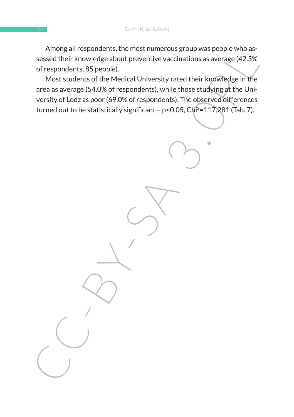Among all respondents, the most numerous group was people who assessed their knowledge about preventive vaccinations as average (42.5% of respondents, 85 people).

Among antespondents, the most numerous group was person was person with a<br>sessed their knowledge about preventive vaccinations as average (42.5%<br>of respondents, 85 people).<br>Most students of the Medicial University rated th Most students of the Medical University rated their knowledge in the area as average (54.0% of respondents), while those studying at the University of Lodz as poor (69.0% of respondents). The observed differences turned out to be statistically significant -  $p < 0.05$ , Chi<sup>2</sup>=117,281 (Tab. 7).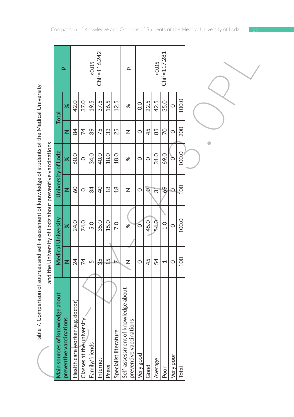| Ś                     |
|-----------------------|
|                       |
| ì                     |
|                       |
|                       |
|                       |
|                       |
|                       |
| j                     |
| ׇ֚֓֡<br>֡֡֡֡֡֡֡֡<br>١ |
|                       |
|                       |
|                       |
| .<br>.<br>.<br>.      |
|                       |
| Ï                     |
|                       |
| .<br>I                |
|                       |
| l                     |
| i                     |
|                       |
|                       |
|                       |
| i                     |
|                       |
| さら                    |
|                       |
| .<br>.<br>.           |
|                       |
| $\frac{1}{2}$         |
|                       |
|                       |
| .<br>ו                |
|                       |
|                       |
|                       |
|                       |
| ١                     |
| I                     |
| Ó<br>1                |
| ć<br>7                |
|                       |

|                                                                                                            |                                      | $\Omega$                |                                  |                           | 0.05           | $Chi^2 = 116.242$ |                |                      | $\mathbf{\Omega}$                     |                         |               |         | 0.05           | $Chi^2 = 117.281$ |           |       |  |
|------------------------------------------------------------------------------------------------------------|--------------------------------------|-------------------------|----------------------------------|---------------------------|----------------|-------------------|----------------|----------------------|---------------------------------------|-------------------------|---------------|---------|----------------|-------------------|-----------|-------|--|
|                                                                                                            | <b>Total</b>                         | ৯ৎ                      | 42.0                             | 37.0                      | 19.5           | 37.5              | 16.5           | 12.5                 | $\aleph$                              |                         | $\frac{0}{0}$ | 22.5    | 42.5           | 35.0              | $\circ$   | 100.0 |  |
|                                                                                                            |                                      | z                       | 84                               | 74                        | 39             | 75                | 33             | 25                   | Z                                     |                         | $\circ$       | 45      | 85             | 70                | $\circ$   | 200   |  |
|                                                                                                            |                                      | ৼ                       | 60.0                             | $\circ$                   | 34.0           | 40.0              | 18.0           | 18.0                 | $\aleph$                              |                         | $\circ$       | $\circ$ | 31.0           | 69.0              | ò         | 100.0 |  |
|                                                                                                            | University of Lodz                   | z                       | $\overline{60}$                  | $\circ$                   | 34             | $\overline{40}$   | $\frac{8}{18}$ | $\frac{8}{18}$       | Z                                     |                         | $\circ$       | $\circ$ | $\overline{3}$ | 69                | $\circ$   | 100   |  |
| and the University of Lodz about preventive vaccinations                                                   | <b>Medical University</b>            | ৼ                       | 24.0                             | 74.0                      | 5.0            | 35.0              | 15.0           | 7.0                  | $\aleph$                              |                         | $\circ$       | 45.0    | 54.0           | $\frac{0}{1}$     | $\circ$   | 100.0 |  |
|                                                                                                            |                                      | z                       | 24                               | 74                        | 5              | 35                | $\frac{5}{1}$  |                      | Z                                     |                         | $\circ$       | 45      | 54             | 1                 | $\circ$   | 100   |  |
| le 7. Comparison of sources and self-assessment of knowledge of students of the Medical University<br>Tabl | nowledge about<br>Main sources of kı | preventive vaccinations | Health care worker (e.g. doctor) | Classes at the university | Family/friends | Internet          | Press          | Specialist literatur | knowledge about<br>Self-assessment of | preventive vaccinations | Very good     | Good    | Average        | Poor              | Very poor | Total |  |

Comparison of Knowledge and Opinions of Students of the Medical University of Lodz…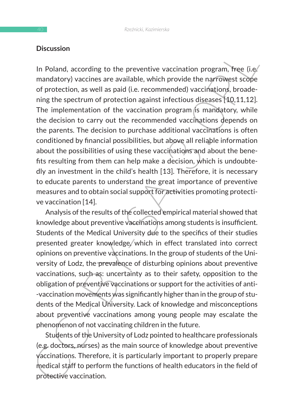### **Discussion**

In Poland, according to the preventive vaccination program, free (i.e)<br>
mandatory) vaccines are available, which provide the narrowest scope<br>
of protection, as well as paid (i.e. recommended) vaccinations, broade-<br>
ning t In Poland, according to the preventive vaccination program, free (i.e. mandatory) vaccines are available, which provide the narrowest scope of protection, as well as paid (i.e. recommended) vaccinations, broadening the spectrum of protection against infectious diseases [10,11,12]. The implementation of the vaccination program is mandatory, while the decision to carry out the recommended vaccinations depends on the parents. The decision to purchase additional vaccinations is often conditioned by financial possibilities, but above all reliable information about the possibilities of using these vaccinations and about the benefits resulting from them can help make a decision, which is undoubtedly an investment in the child's health [13]. Therefore, it is necessary to educate parents to understand the great importance of preventive measures and to obtain social support for activities promoting protective vaccination [14].

Analysis of the results of the collected empirical material showed that knowledge about preventive vaccinations among students is insufficient. Students of the Medical University due to the specifics of their studies presented greater knowledge/which in effect translated into correct opinions on preventive vaccinations. In the group of students of the University of Lodz, the prevalence of disturbing opinions about preventive vaccinations, such as: uncertainty as to their safety, opposition to the obligation of preventive vaccinations or support for the activities of anti- -vaccination movements was significantly higher than in the group of students of the Medical University. Lack of knowledge and misconceptions about preventive vaccinations among young people may escalate the phenomenon of not vaccinating children in the future.

Students of the University of Lodz pointed to healthcare professionals (e.g. doctors, nurses) as the main source of knowledge about preventive vaccinations. Therefore, it is particularly important to properly prepare medical staff to perform the functions of health educators in the field of protective vaccination.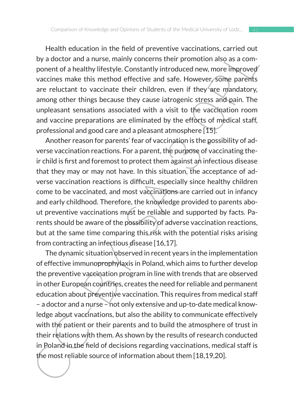Health education in the field of preventive vaccinations, carried out by a doctor and a nurse, mainly concerns their promotion also as a component of a healthy lifestyle. Constantly introduced new, more improved vaccines make this method effective and safe. However, some parents are reluctant to vaccinate their children, even if they are mandatory, among other things because they cause iatrogenic stress and pain. The unpleasant sensations associated with a visit to the vaccination room and vaccine preparations are eliminated by the efforts of medical staff, professional and good care and a pleasant atmosphere [15].

Another reason for parents' fear of vaccination is the possibility of adverse vaccination reactions. For a parent, the purpose of vaccinating their child is first and foremost to protect them against an infectious disease that they may or may not have. In this situation, the acceptance of adverse vaccination reactions is difficult, especially since healthy children come to be vaccinated, and most vaccinations are carried out in infancy and early childhood. Therefore, the knowledge provided to parents about preventive vaccinations must be reliable and supported by facts. Parents should be aware of the possibility of adverse vaccination reactions, but at the same time comparing this risk with the potential risks arising from contracting an infectious disease [16,17].

Frame toutation in the first of preview vacturations, carried or<br>the reaction and preview actions are a component of a healthy lifetstyle. Constantly introduced new, more improved<br>your addictriative interaction and sets. The dynamic situation observed in recent years in the implementation of effective immunoprophylaxis in Poland, which aims to further develop the preventive vaccination program in line with trends that are observed in other European countries, creates the need for reliable and permanent education about preventive vaccination. This requires from medical staff – a doctor and a nurse – not only extensive and up-to-date medical knowledge about vaccinations, but also the ability to communicate effectively with the patient or their parents and to build the atmosphere of trust in their relations with them. As shown by the results of research conducted in Poland in the field of decisions regarding vaccinations, medical staff is the most reliable source of information about them [18,19,20].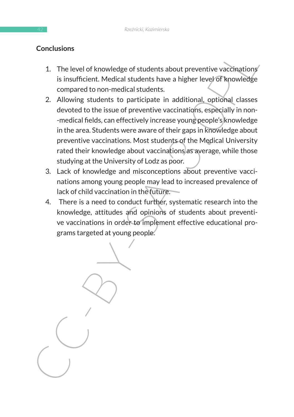### **Conclusions**

- 1. The level of knowledge of students about preventive vaccinations is insufficient. Medical students have a higher level of knowledge compared to non-medical students.
- Concusions<br>
1. The level of knowledge of students about preventive vaccinations<br>
is insufficient Medical students have a higher level of knowledge<br>
compared to non-medical students.<br>
2. Allowing students to participate in 2. Allowing students to participate in additional, optional classes devoted to the issue of preventive vaccinations, especially in non- -medical fields, can effectively increase young people's knowledge in the area. Students were aware of their gaps in knowledge about preventive vaccinations. Most students of the Medical University rated their knowledge about vaccinations as average, while those studying at the University of Lodz as poor.
	- 3. Lack of knowledge and misconceptions about preventive vaccinations among young people may lead to increased prevalence of lack of child vaccination in the future.
	- 4. There is a need to conduct further, systematic research into the knowledge, attitudes and opinions of students about preventive vaccinations in order to implement effective educational programs targeted at young people.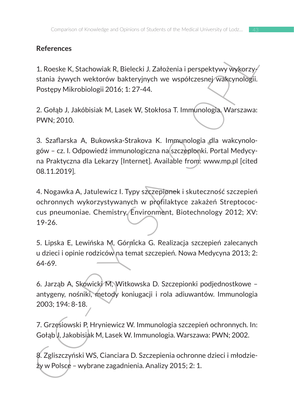# **References**

1. Roeske K, Stachowiak R, Bielecki J. Założenia i perspektywy wykorzystania żywych wektorów bakteryjnych we współczesnej wakcynologii. Postępy Mikrobiologii 2016; 1: 27-44.

2. Gołąb J, Jakóbisiak M, Lasek W, Stokłosa T. Immunologia. Warszawa: PWN; 2010.

3. Szaflarska A, Bukowska-Strakova K. Immunologia dla wakcynologów – cz. I. Odpowiedź immunologiczna na szczepionki. Portal Medycyna Praktyczna dla Lekarzy [Internet]. Available from: www.mp.pl [cited 08.11.2019].

References<br>
1. Roeske K, Stachowiak R, Bielecki J. Założenia i perspektywy wykorzy<br>
stania żywych wektorów bakteryjnych we wspóczesnej wakcynologii.<br>
Postępy Mikrobiologii 2016; 1: 27-44.<br>
2. Gołąb J, Jakóbisiak M, Lasek W 4. Nogawka A, Jatulewicz I. Typy szczepionek i skuteczność szczepień ochronnych wykorzystywanych w profilaktyce zakażeń Streptococcus pneumoniae. Chemistry, Environment, Biotechnology 2012; XV: 19-26.

5. Lipska E, Lewińska M, Górnicka G. Realizacja szczepień zalecanych u dzieci i opinie rodziców na temat szczepień. Nowa Medycyna 2013; 2: 64-69.

6. Jarząb A, Skowicki M, Witkowska D. Szczepionki podjednostkowe – antygeny, nośniki, metody koniugacji i rola adiuwantów. Immunologia 2003; 194: 8-18.

7. Grzesiowski P, Hryniewicz W. Immunologia szczepień ochronnych. In: Gołąb J, Jakobisiak M, Lasek W. Immunologia. Warszawa: PWN; 2002.

8. Zgliszczyński WS, Cianciara D. Szczepienia ochronne dzieci i młodzieży w Polsce – wybrane zagadnienia. Analizy 2015; 2: 1.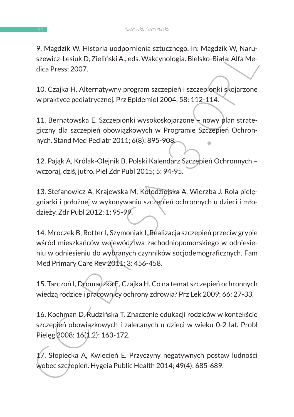9. Magdzik W. Historia uodpornienia sztucznego. In: Magdzik W, Naruszewicz-Lesiuk D, Zieliński A., eds. Wakcynologia. Bielsko-Biała: Alfa Medica Press; 2007.

10. Czajka H. Alternatywny program szczepień i szczepionki skojarzone w praktyce pediatrycznej. Prz Epidemiol 2004; 58: 112-114.

11. Bernatowska E. Szczepionki wysokoskojarzone – nowy plan strategiczny dla szczepień obowiązkowych w Programie Szczepień Ochronnych. Stand Med Pediatr 2011; 6(8): 895-908.

12. Pająk A, Królak-Olejnik B. Polski Kalendarz Szczepień Ochronnych – wczoraj, dziś, jutro. Piel Zdr Publ 2015; 5: 94-95.

13. Stefanowicz A, Krajewska M, Kołodziejska A, Wierzba J. Rola pielęgniarki i położnej w wykonywaniu szczepień ochronnych u dzieci i młodzieży. Zdr Publ 2012; 1: 95-99.

7. wiągzdzk w. Historia duojorniemia szcucznego. In: wiągzdzk w. Wardina<br>szewicz-Lesiuk D, Zieliński A, eds. Wakcynologia. Bielsko-Biała: Alfa Me-<br>dica Press; 2007.<br>10. Czajka H. Alternatywny program szczepień i szczepionk 14. Mroczek B, Rotter I, Szymoniak I. Realizacja szczepień przeciw grypie wśród mieszkańców województwa zachodniopomorskiego w odniesieniu w odniesieniu do wybranych czynników socjodemograficznych. Fam Med Primary Care Rev 2011; 3: 456-458.

15. Tarczoń I, Dromadzka E, Czajka H. Co na temat szczepień ochronnych wiedzą rodzice i pracownicy ochrony zdrowia? Prz Lek 2009; 66: 27-33.

16. Kochman D, Rudzińska T. Znaczenie edukacji rodziców w kontekście szczepień obowiązkowych i zalecanych u dzieci w wieku 0-2 lat. Probl Pielęg 2008; 16(1,2): 163-172.

17. Słopiecka A, Kwiecień E. Przyczyny negatywnych postaw ludności wobec szczepień. Hygeia Public Health 2014; 49(4): 685-689.